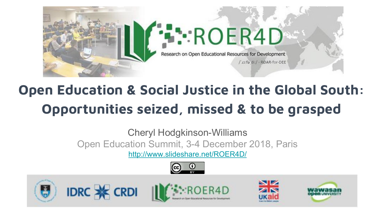

# **Open Education & Social Justice in the Global South: Opportunities seized, missed & to be grasped**

Cheryl Hodgkinson-Williams Open Education Summit, 3-4 December 2018, Paris

<http://www.slideshare.net/ROER4D/>









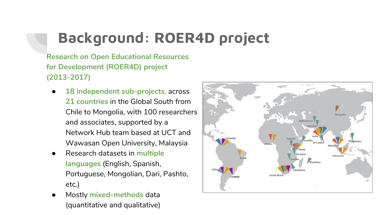# **Background: ROER4D project**

**Research on Open Educational Resources for Development (ROER4D) project (2013-2017)**

- **18 independent sub-projects**, across **21 countries** in the Global South from Chile to Mongolia, with 100 researchers and associates, supported by a Network Hub team based at UCT and Wawasan Open University, Malaysia
- Research datasets in **multiple languages** (English, Spanish, Portuguese, Mongolian, Dari, Pashto, etc.)
- Mostly **mixed-methods** data (quantitative and qualitative)

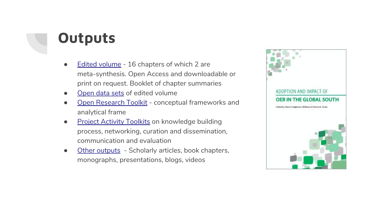### **Outputs**

- [Edited volume](https://docs.google.com/spreadsheets/d/1_55Xxa-ARQnNmS6tFl6Z0JgpZvm_a_QfMbNcjAjy7Gk/edit?usp=sharing)  16 chapters of which 2 are meta-synthesis. Open Access and downloadable or print on request. Booklet of chapter summaries
- [Open data sets](https://datafirst.uct.ac.za/dataportal/index.php/catalog/696) of edited volume
- [Open Research Toolkit](http://roer4d.org/open-research-toolkit)  conceptual frameworks and analytical frame
- **[Project Activity Toolkits](http://roer4d.org/project-activity-toolkit) on knowledge building** process, networking, curation and dissemination, communication and evaluation
- [Other outputs](https://docs.google.com/spreadsheets/d/1_55Xxa-ARQnNmS6tFl6Z0JgpZvm_a_QfMbNcjAjy7Gk/edit?usp=sharing) Scholarly articles, book chapters, monographs, presentations, blogs, videos

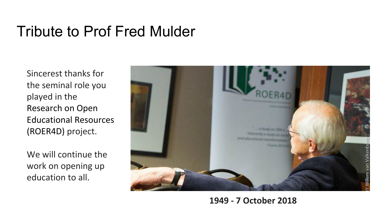### Tribute to Prof Fred Mulder

Sincerest thanks for the seminal role you played in the Research on Open Educational Resources (ROER4D) project.

We will continue the work on opening up education to all.



#### **1949 - 7 October 2018**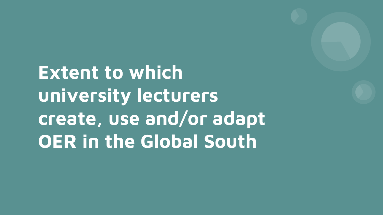**Extent to which university lecturers create, use and/or adapt OER in the Global South**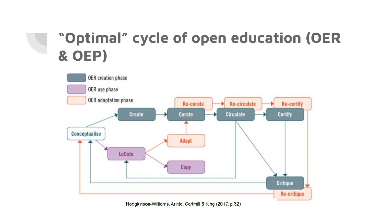### **"Optimal" cycle of open education (OER & OEP)**



Hodgkinson-Williams, Arinto, Cartmill & King (2017, p.32)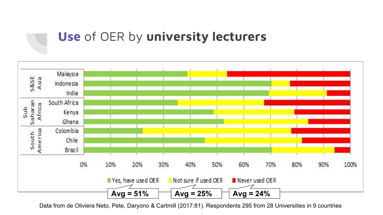### **Use** of OER by **university lecturers**



Data from de Oliviera Neto, Pete, Daryono & Cartmill (2017:81). Respondents 295 from 28 Universities in 9 countries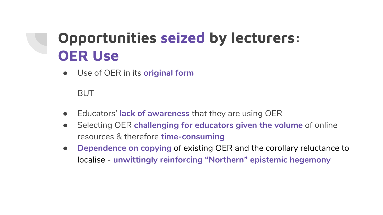### **Opportunities seized by lecturers: OER Use**

● Use of OER in its **original form**

BUT

- Educators' **lack of awareness** that they are using OER
- **•** Selecting OER challenging for educators given the volume of online resources & therefore **time-consuming**
- **Dependence on copying of existing OER and the corollary reluctance to** localise - **unwittingly reinforcing "Northern" epistemic hegemony**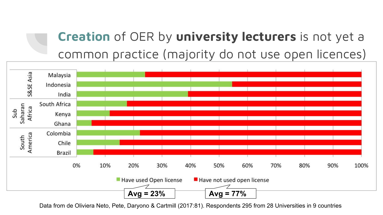### **Creation** of OER by **university lecturers** is not yet a common practice (majority do not use open licences)



Data from de Oliviera Neto, Pete, Daryono & Cartmill (2017:81). Respondents 295 from 28 Universities in 9 countries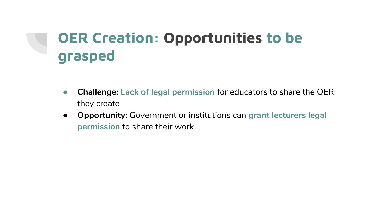# **OER Creation: Opportunities to be grasped**

- **● Challenge: Lack of legal permission** for educators to share the OER they create
- **Opportunity:** Government or institutions can **grant lecturers legal permission** to share their work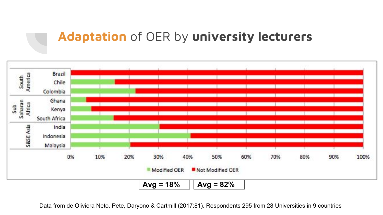#### **Adaptation** of OER by **university lecturers**



Data from de Oliviera Neto, Pete, Daryono & Cartmill (2017:81). Respondents 295 from 28 Universities in 9 countries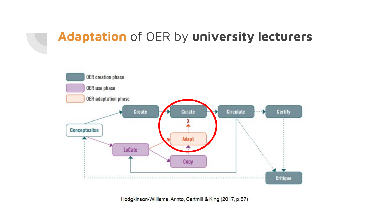### **Adaptation** of OER by **university lecturers**



Hodgkinson-Williams, Arinto, Cartmill & King (2017, p.57)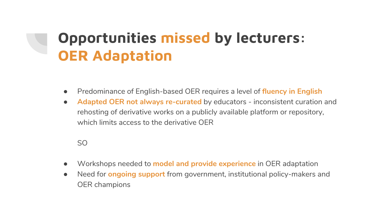### **Opportunities missed by lecturers: OER Adaptation**

- Predominance of English-based OER requires a level of **fluency in English**
- **Adapted OER not always re-curated** by educators inconsistent curation and rehosting of derivative works on a publicly available platform or repository, which limits access to the derivative OFR

SO

- Workshops needed to **model and provide experience** in OER adaptation
- Need for **ongoing support** from government, institutional policy-makers and OER champions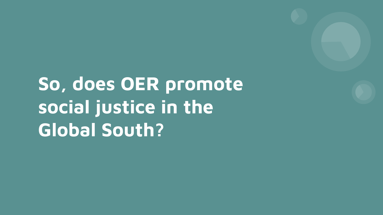**So, does OER promote social justice in the Global South?**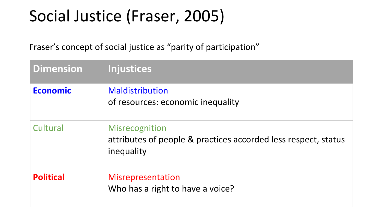# Social Justice (Fraser, 2005)

Fraser's concept of social justice as "parity of participation"

| <b>Dimension</b> | <b>Injustices</b>                                                                              |
|------------------|------------------------------------------------------------------------------------------------|
| <b>Economic</b>  | Maldistribution<br>of resources: economic inequality                                           |
| Cultural         | Misrecognition<br>attributes of people & practices accorded less respect, status<br>inequality |
| <b>Political</b> | Misrepresentation<br>Who has a right to have a voice?                                          |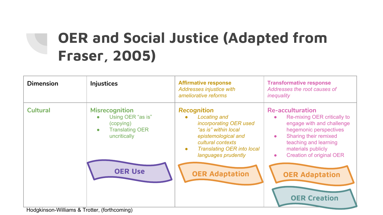# **OER and Social Justice (Adapted from Fraser, 2005)**

| <b>Dimension</b> | <b>Injustices</b>                                                                                                           | <b>Affirmative response</b><br>Addresses injustice with<br>ameliorative reforms                                                                                                                                  | <b>Transformative response</b><br>Addresses the root causes of<br>inequality                                                                                                                                                                       |
|------------------|-----------------------------------------------------------------------------------------------------------------------------|------------------------------------------------------------------------------------------------------------------------------------------------------------------------------------------------------------------|----------------------------------------------------------------------------------------------------------------------------------------------------------------------------------------------------------------------------------------------------|
| <b>Cultural</b>  | <b>Misrecognition</b><br>Using OER "as is"<br>$\bullet$<br>(copying)<br><b>Translating OER</b><br>$\bullet$<br>uncritically | <b>Recognition</b><br><b>Locating and</b><br>incorporating OER used<br>"as is" within local<br>epistemological and<br>cultural contexts<br><b>Translating OER into local</b><br>$\bullet$<br>languages prudently | <b>Re-acculturation</b><br>Re-mixing OER critically to<br>engage with and challenge<br>hegemonic perspectives<br>Sharing their remixed<br>$\bullet$<br>teaching and learning<br>materials publicly<br><b>Creation of original OER</b><br>$\bullet$ |
|                  | <b>OER Use</b><br>Hodgkinson-Williams & Trotter, (forthcoming)                                                              | <b>OER Adaptation</b>                                                                                                                                                                                            | <b>OER Adaptation</b><br><b>OER Creation</b>                                                                                                                                                                                                       |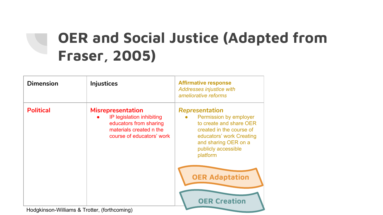# **OER and Social Justice (Adapted from Fraser, 2005)**

| <b>Dimension</b>                             | <b>Injustices</b>                                                                                                                       | <b>Affirmative response</b><br>Addresses injustice with<br>ameliorative reforms                                                                                                                                                        |
|----------------------------------------------|-----------------------------------------------------------------------------------------------------------------------------------------|----------------------------------------------------------------------------------------------------------------------------------------------------------------------------------------------------------------------------------------|
| <b>Political</b>                             | <b>Misrepresentation</b><br>IP legislation inhibiting<br>educators from sharing<br>materials created n the<br>course of educators' work | Representation<br>Permission by employer<br>to create and share OER<br>created in the course of<br>educators' work Creating<br>and sharing OER on a<br>publicly accessible<br>platform<br><b>OER Adaptation</b><br><b>OER Creation</b> |
| Hodgkinson-Williams & Trotter, (forthcoming) |                                                                                                                                         |                                                                                                                                                                                                                                        |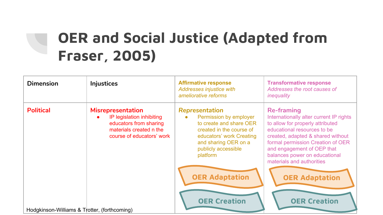# **OER and Social Justice (Adapted from Fraser, 2005)**

| <b>Dimension</b>                             | <b>Injustices</b>                                                                                                                       | <b>Affirmative response</b><br><b>Addresses injustice with</b><br>ameliorative reforms                                                                                                 | <b>Transformative response</b><br>Addresses the root causes of<br>inequality                                                                                                                                                                                                                          |
|----------------------------------------------|-----------------------------------------------------------------------------------------------------------------------------------------|----------------------------------------------------------------------------------------------------------------------------------------------------------------------------------------|-------------------------------------------------------------------------------------------------------------------------------------------------------------------------------------------------------------------------------------------------------------------------------------------------------|
| <b>Political</b>                             | <b>Misrepresentation</b><br>IP legislation inhibiting<br>educators from sharing<br>materials created n the<br>course of educators' work | Representation<br>Permission by employer<br>to create and share OER<br>created in the course of<br>educators' work Creating<br>and sharing OER on a<br>publicly accessible<br>platform | <b>Re-framing</b><br>Internationally alter current IP rights<br>to allow for properly attributed<br>educational resources to be<br>created, adapted & shared without<br>formal permission Creation of OER<br>and engagement of OEP that<br>balances power on educational<br>materials and authorities |
|                                              |                                                                                                                                         | <b>OER Adaptation</b>                                                                                                                                                                  | <b>OER Adaptation</b>                                                                                                                                                                                                                                                                                 |
| Hodgkinson-Williams & Trotter, (forthcoming) |                                                                                                                                         | <b>OER Creation</b>                                                                                                                                                                    | <b>OER Creation</b>                                                                                                                                                                                                                                                                                   |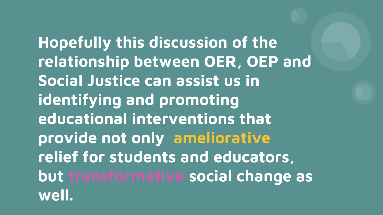**Hopefully this discussion of the relationship between OER, OEP and Social Justice can assist us in identifying and promoting educational interventions that provide not only ameliorative relief for students and educators, but transformative social change as well.**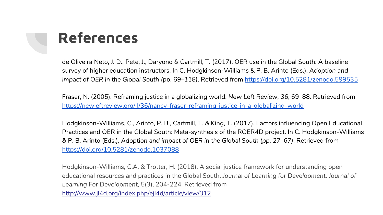

de Oliveira Neto, J. D., Pete, J., Daryono & Cartmill, T. (2017). OER use in the Global South: A baseline survey of higher education instructors. In C. Hodgkinson-Williams & P. B. Arinto (Eds.), *Adoption and impact of OER in the Global South (pp. 69–118)*. Retrieved from<https://doi.org/10.5281/zenodo.599535>

Fraser, N. (2005). Reframing justice in a globalizing world. *New Left Review, 36*, 69–88. Retrieved from <https://newleftreview.org/II/36/nancy-fraser-reframing-justice-in-a-globalizing-world>

Hodgkinson-Williams, C., Arinto, P. B., Cartmill, T. & King, T. (2017). Factors influencing Open Educational Practices and OER in the Global South: Meta-synthesis of the ROER4D project. In C. Hodgkinson-Williams & P. B. Arinto (Eds.), *Adoption and impact of OER in the Global South (pp. 27–67)*. Retrieved from <https://doi.org/10.5281/zenodo.1037088>

Hodgkinson-Williams, C.A. & Trotter, H. (2018). A social justice framework for understanding open educational resources and practices in the Global South, *Journal of Learning for Development. Journal of Learning For Development,* 5(3), 204-224. Retrieved from <http://www.jl4d.org/index.php/ejl4d/article/view/312>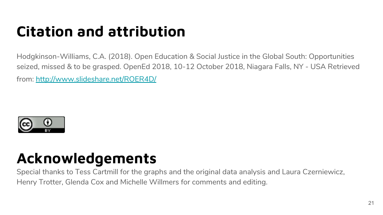## **Citation and attribution**

Hodgkinson-Williams, C.A. (2018). Open Education & Social Justice in the Global South: Opportunities seized, missed & to be grasped. OpenEd 2018, 10-12 October 2018, Niagara Falls, NY - USA Retrieved from:<http://www.slideshare.net/ROER4D/>



### **Acknowledgements**

Special thanks to Tess Cartmill for the graphs and the original data analysis and Laura Czerniewicz, Henry Trotter, Glenda Cox and Michelle Willmers for comments and editing.